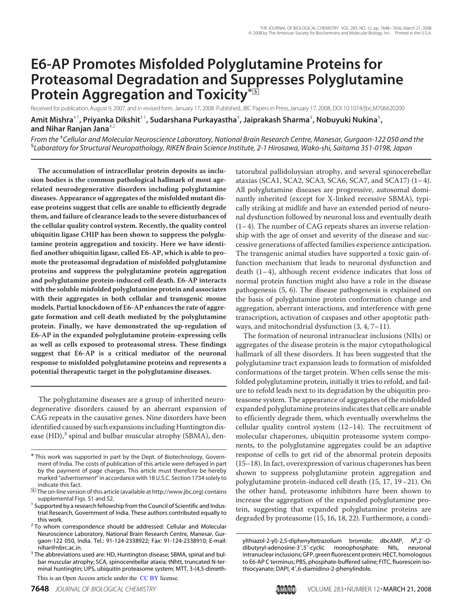# **E6-AP Promotes Misfolded Polyglutamine Proteins for Proteasomal Degradation and Suppresses Polyglutamine Protein Aggregation and Toxicity\***□**<sup>S</sup>**

Received for publication, August 9, 2007, and in revised form, January 17, 2008 Published, JBC Papers in Press, January 17, 2008, DOI 10.1074/jbc.M706620200 **Amit Mishra**‡1**, Priyanka Dikshit**‡1**, Sudarshana Purkayastha**‡ **, Jaiprakash Sharma**‡ **, Nobuyuki Nukina**§ **, and Nihar Ranjan Jana**‡2

*From the* ‡ *Cellular and Molecular Neuroscience Laboratory, National Brain Research Centre, Manesar, Gurgaon-122 050 and the* § *Laboratory for Structural Neuropathology, RIKEN Brain Science Institute, 2-1 Hirosawa, Wako-shi, Saitama 351-0198, Japan*

**The accumulation of intracellular protein deposits as inclusion bodies is the common pathological hallmark of most agerelated neurodegenerative disorders including polyglutamine diseases. Appearance of aggregates of the misfolded mutant disease proteins suggest that cells are unable to efficiently degrade them, and failure of clearance leads to the severe disturbances of the cellular quality control system. Recently, the quality control ubiquitin ligase CHIP has been shown to suppress the polyglutamine protein aggregation and toxicity. Here we have identified another ubiquitin ligase, called E6-AP, which is able to promote the proteasomal degradation of misfolded polyglutamine proteins and suppress the polyglutamine protein aggregation and polyglutamine protein-induced cell death. E6-AP interacts with the soluble misfolded polyglutamine protein and associates with their aggregates in both cellular and transgenic mouse models. Partial knockdown of E6-AP enhances the rate of aggregate formation and cell death mediated by the polyglutamine protein. Finally, we have demonstrated the up-regulation of E6-AP in the expanded polyglutamine protein-expressing cells as well as cells exposed to proteasomal stress. These findings suggest that E6-AP is a critical mediator of the neuronal response to misfolded polyglutamine proteins and represents a potential therapeutic target in the polyglutamine diseases.**

The polyglutamine diseases are a group of inherited neurodegenerative disorders caused by an aberrant expansion of CAG repeats in the causative genes. Nine disorders have been identified caused by such expansions including Huntington disease (HD),<sup>3</sup> spinal and bulbar muscular atrophy (SBMA), dentatorubral pallidoluysian atrophy, and several spinocerebellar ataxias (SCA1, SCA2, SCA3, SCA6, SCA7, and SCA17) (1– 4). All polyglutamine diseases are progressive, autosomal dominantly inherited (except for X-linked recessive SBMA), typically striking at midlife and have an extended period of neuronal dysfunction followed by neuronal loss and eventually death  $(1-4)$ . The number of CAG repeats shares an inverse relationship with the age of onset and severity of the disease and successive generations of affected families experience anticipation. The transgenic animal studies have supported a toxic gain-offunction mechanism that leads to neuronal dysfunction and death  $(1-4)$ , although recent evidence indicates that loss of normal protein function might also have a role in the disease pathogenesis (5, 6). The disease pathogenesis is explained on the basis of polyglutamine protein conformation change and aggregation, aberrant interactions, and interference with gene transcription, activation of caspases and other apoptotic pathways, and mitochondrial dysfunction (3, 4, 7–11).

The formation of neuronal intranuclear inclusions (NIIs) or aggregates of the disease protein is the major cytopathological hallmark of all these disorders. It has been suggested that the polyglutamine tract expansion leads to formation of misfolded conformations of the target protein. When cells sense the misfolded polyglutamine protein, initially it tries to refold, and failure to refold leads next to its degradation by the ubiquitin proteasome system. The appearance of aggregates of the misfolded expanded polyglutamine proteins indicates that cells are unable to efficiently degrade them, which eventually overwhelms the cellular quality control system (12–14). The recruitment of molecular chaperones, ubiquitin proteasome system components, to the polyglutamine aggregates could be an adaptive response of cells to get rid of the abnormal protein deposits (15–18). In fact, overexpression of various chaperones has been shown to suppress polyglutamine protein aggregation and polyglutamine protein-induced cell death (15, 17, 19–21). On the other hand, proteasome inhibitors have been shown to increase the aggregation of the expanded polyglutamine protein, suggesting that expanded polyglutamine proteins are degraded by proteasome (15, 16, 18, 22). Furthermore, a condi-

<sup>\*</sup> This work was supported in part by the Dept. of Biotechnology, Government of India. The costs of publication of this article were defrayed in part by the payment of page charges. This article must therefore be hereby marked "*advertisement*" in accordance with 18 U.S.C. Section 1734 solely to indicate this fact.

<sup>□</sup>**S** The on-line version of this article (available at http://www.jbc.org) contains supplemental Figs. S1 and S2.

<sup>&</sup>lt;sup>1</sup> Supported by a research fellowship from the Council of Scientific and Industrial Research, Government of India. These authors contributed equally to this work.

<sup>&</sup>lt;sup>2</sup> To whom correspondence should be addressed: Cellular and Molecular Neuroscience Laboratory, National Brain Research Centre, Manesar, Gurgaon-122 050, India. Tel.: 91-124-2338922; Fax: 91-124-2338910; E-mail: nihar@nbrc.ac.in.

<sup>&</sup>lt;sup>3</sup> The abbreviations used are: HD, Huntington disease; SBMA, spinal and bulbar muscular atrophy; SCA, spinocerebellar ataxia; tNhtt, truncated N-terminal huntingtin; UPS, ubiquitin proteasome system; MTT, 3-(4,5-dimeth-

This is an Open Access article under the CC BY license.

ylthiazol-2-yl)-2,5-diphenyltetrazolium bromide; dbcAMP, *N* 6 ,2-*O*dibutyryl-adenosine-3,5-cyclic monophosphate; NIIs, neuronal intranuclear inclusions; GFP, green fluorescent protein; HECT, homologous to E6-AP C terminus; PBS, phosphate-buffered saline; FITC, fluorescein isothiocyanate; DAPI, 4',6-diamidino-2-phenylindole.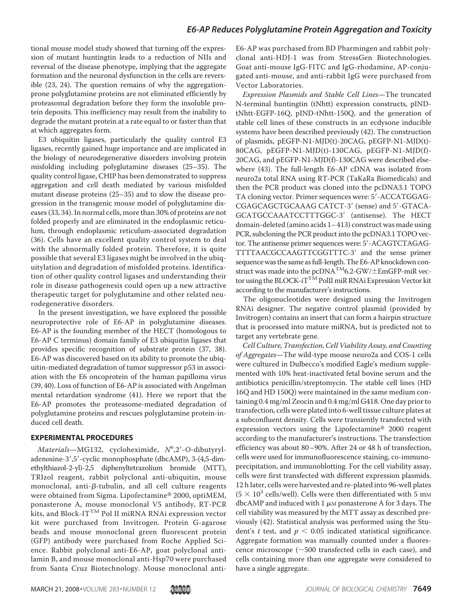tional mouse model study showed that turning off the expression of mutant huntingtin leads to a reduction of NIIs and reversal of the disease phenotype, implying that the aggregate formation and the neuronal dysfunction in the cells are reversible (23, 24). The question remains of why the aggregationprone polyglutamine proteins are not eliminated efficiently by proteasomal degradation before they form the insoluble protein deposits. This inefficiency may result from the inability to degrade the mutant protein at a rate equal to or faster than that at which aggregates form.

E3 ubiquitin ligases, particularly the quality control E3 ligases, recently gained huge importance and are implicated in the biology of neurodegenerative disorders involving protein misfolding including polyglutamine diseases (25–35). The quality control ligase, CHIP has been demonstrated to suppress aggregation and cell death mediated by various misfolded mutant disease proteins (25–35) and to slow the disease progression in the transgenic mouse model of polyglutamine diseases (33, 34). In normal cells, more than 30% of proteins are not folded properly and are eliminated in the endoplasmic reticulum, through endoplasmic reticulum-associated degradation (36). Cells have an excellent quality control system to deal with the abnormally folded protein. Therefore, it is quite possible that several E3 ligases might be involved in the ubiquitylation and degradation of misfolded proteins. Identification of other quality control ligases and understanding their role in disease pathogenesis could open up a new attractive therapeutic target for polyglutamine and other related neurodegenerative disorders.

In the present investigation, we have explored the possible neuroprotective role of E6-AP in polyglutamine diseases. E6-AP is the founding member of the HECT (homologous to E6-AP C terminus) domain family of E3 ubiquitin ligases that provides specific recognition of substrate protein (37, 38). E6-AP was discovered based on its ability to promote the ubiquitin-mediated degradation of tumor suppressor p53 in association with the E6 oncoprotein of the human papilloma virus (39, 40). Loss of function of E6-AP is associated with Angelman mental retardation syndrome (41). Here we report that the E6-AP promotes the proteasome-mediated degradation of polyglutamine proteins and rescues polyglutamine protein-induced cell death.

#### **EXPERIMENTAL PROCEDURES**

Materials-MG132, cycloheximide, N°,2'-O-dibutyryladenosine-3',5'-cyclic monophosphate (dbcAMP), 3-(4,5-dimethylthiazol-2-yl)-2,5 diphenyltetrazolium bromide (MTT), TRIzol reagent, rabbit polyclonal anti-ubiquitin, mouse monoclonal, anti- $\beta$ -tubulin, and all cell culture reagents were obtained from Sigma. Lipofectamine® 2000, optiMEM, ponasterone A, mouse monoclonal V5 antibody, RT-PCR kits, and Block-IT<sup>TM</sup> Pol II miRNA RNAi expression vector kit were purchased from Invitrogen. Protein G-agarose beads and mouse monoclonal green fluorescent protein (GFP) antibody were purchased from Roche Applied Science. Rabbit polyclonal anti-E6-AP, goat polyclonal antilamin B, and mouse monoclonal anti-Hsp70 were purchased from Santa Cruz Biotechnology. Mouse monoclonal antiE6-AP was purchased from BD Pharmingen and rabbit polyclonal anti-HDJ-1 was from StressGen Biotechnologies. Goat anti-mouse IgG-FITC and IgG-rhodamine, AP-conjugated anti-mouse, and anti-rabbit IgG were purchased from Vector Laboratories.

Expression Plasmids and Stable Cell Lines—The truncated N-terminal huntingtin (tNhtt) expression constructs, pINDtNhtt-EGFP-16Q, pIND-tNhtt-150Q, and the generation of stable cell lines of these constructs in an ecdysone inducible systems have been described previously (42). The construction of plasmids, pEGFP-N1-MJD(t)-20CAG, pEGFP-N1-MJD(t)- 80CAG, pEGFP-N1-MJD(t)-130CAG, pEGFP-N1-MJD(f)- 20CAG, and pEGFP-N1-MJD(f)-130CAG were described elsewhere (43). The full-length E6-AP cDNA was isolated from neuro2a total RNA using RT-PCR (TaKaRa Biomedicals) and then the PCR product was cloned into the pcDNA3.1 TOPO TA cloning vector. Primer sequences were: 5'-ACCATGGAG-CGAGCAGCTGCAAAG CATCT-3' (sense) and 5'-GTACA-GCATGCCAAATCCTTTGGC-3 (antisense). The HECT domain-deleted (amino acids 1– 413) construct was made using PCR, subcloning the PCR product into the pcDNA3.1 TOPO vector. The antisense primer sequences were: 5'-ACAGTCTAGAG-TTTTAACGCCAAGTTCGGTTTC-3 and the sense primer sequence was the same as full-length. The E6-AP knockdown construct was made into the pcDNA $\rm ^{TM}$ 6.2-GW/ $\rm \pm EmGFP$ -miR vector using the BLOCK-iT<sup>TM</sup> PolII miR RNAi Expression Vector kit according to the manufacturer's instructions.

The oligonucleotides were designed using the Invitrogen RNAi designer. The negative control plasmid (provided by Invitrogen) contains an insert that can form a hairpin structure that is processed into mature miRNA, but is predicted not to target any vertebrate gene.

Cell Culture, Transfection, Cell Viability Assay, and Counting of Aggregates—The wild-type mouse neuro2a and COS-1 cells were cultured in Dulbecco's modified Eagle's medium supplemented with 10% heat-inactivated fetal bovine serum and the antibiotics penicillin/streptomycin. The stable cell lines (HD 16Q and HD 150Q) were maintained in the same medium containing 0.4 mg/ml Zeocin and 0.4 mg/ml G418. One day prior to transfection, cells were plated into 6-well tissue culture plates at a subconfluent density. Cells were transiently transfected with expression vectors using the Lipofectamine® 2000 reagent according to the manufacturer's instructions. The transfection efficiency was about 80–90%. After 24 or 48 h of transfection, cells were used for immunofluorescence staining, co-immunoprecipitation, and immunoblotting. For the cell viability assay, cells were first transfected with different expression plasmids. 12 h later, cells were harvested and re-plated into 96-well plates  $(5 \times 10^3 \text{ cells/well})$ . Cells were then differentiated with 5 mm dbcAMP and induced with  $1 \mu$ M ponasterone A for 3 days. The cell viability was measured by the MTT assay as described previously (42). Statistical analysis was performed using the Student's t test, and  $p < 0.05$  indicated statistical significance. Aggregate formation was manually counted under a fluorescence microscope ( $\sim$ 500 transfected cells in each case), and cells containing more than one aggregate were considered to have a single aggregate.

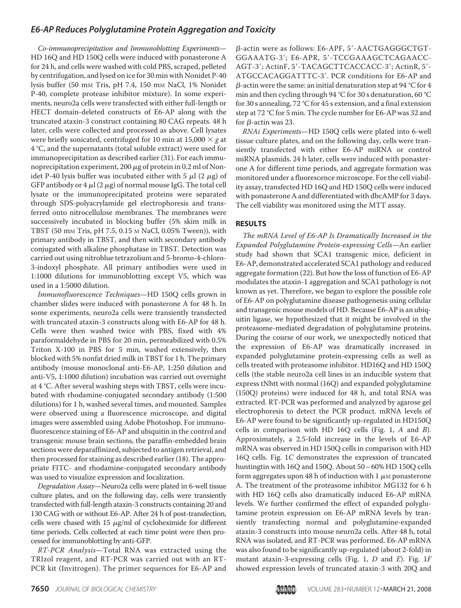Co-immunoprecipitation and Immunoblotting Experiments— HD 16Q and HD 150Q cells were induced with ponasterone A for 24 h, and cells were washed with cold PBS, scraped, pelleted by centrifugation, and lysed on ice for 30 min with Nonidet P-40 lysis buffer (50 mm Tris, pH 7.4, 150 mm NaCl, 1% Nonidet P-40, complete protease inhibitor mixture). In some experiments, neuro2a cells were transfected with either full-length or HECT domain-deleted constructs of E6-AP along with the truncated ataxin-3 construct containing 80 CAG repeats. 48 h later, cells were collected and processed as above. Cell lysates were briefly sonicated, centrifuged for 10 min at 15,000  $\times$  g at 4 °C, and the supernatants (total soluble extract) were used for immunoprecipitation as described earlier (31). For each immunoprecipitation experiment, 200  $\mu$ g of protein in 0.2 ml of Nonidet P-40 lysis buffer was incubated either with 5  $\mu$ l (2  $\mu$ g) of GFP antibody or 4  $\mu$ l (2  $\mu$ g) of normal mouse IgG. The total cell lysate or the immunoprecipitated proteins were separated through SDS-polyacrylamide gel electrophoresis and transferred onto nitrocellulose membranes. The membranes were successively incubated in blocking buffer (5% skim milk in TBST (50 mM Tris, pH 7.5, 0.15 M NaCl, 0.05% Tween)), with primary antibody in TBST, and then with secondary antibody conjugated with alkaline phosphatase in TBST. Detection was carried out using nitroblue tetrazolium and 5-bromo-4-chloro-3-indoxyl phosphate. All primary antibodies were used in 1:1000 dilutions for immunoblotting except V5, which was used in a 1:5000 dilution.

Immunofluorescence Techniques—HD 150Q cells grown in chamber slides were induced with ponasterone A for 48 h. In some experiments, neuro2a cells were transiently transfected with truncated ataxin-3 constructs along with E6-AP for 48 h. Cells were then washed twice with PBS, fixed with 4% paraformaldehyde in PBS for 20 min, permeabilized with 0.5% Triton X-100 in PBS for 5 min, washed extensively, then blocked with 5% nonfat dried milk in TBST for 1 h. The primary antibody (mouse monoclonal anti-E6-AP, 1:250 dilution and anti-V5, 1:1000 dilution) incubation was carried out overnight at 4 °C. After several washing steps with TBST, cells were incubated with rhodamine-conjugated secondary antibody (1:500 dilutions) for 1 h, washed several times, and mounted. Samples were observed using a fluorescence microscope, and digital images were assembled using Adobe Photoshop. For immunofluorescence staining of E6-AP and ubiquitin in the control and transgenic mouse brain sections, the paraffin-embedded brain sections were deparaffinized, subjected to antigen retrieval, and then processed for staining as described earlier (18). The appropriate FITC- and rhodamine-conjugated secondary antibody was used to visualize expression and localization.

Degradation Assay—Neuro2a cells were plated in 6-well tissue culture plates, and on the following day, cells were transiently transfected with full-length ataxin-3 constructs containing 20 and 130 CAG with or without E6-AP. After 24 h of post-transfection, cells were chased with  $15 \mu g/ml$  of cycloheximide for different time periods. Cells collected at each time point were then processed for immunoblotting by anti-GFP.

RT-PCR Analysis—Total RNA was extracted using the TRIzol reagent, and RT-PCR was carried out with an RT-PCR kit (Invitrogen). The primer sequences for E6-AP and

 $\beta$ -actin were as follows: E6-APF, 5'-AACTGAGGGCTGT-GGAAATG-3; E6-APR, 5-TCCGAAAGCTCAGAACC-AGT-3'; ActinF, 5'-TACAGCTTCACCACC-3'; ActinR, 5'-ATGCCACAGGATTTC-3'. PCR conditions for E6-AP and  $\beta$ -actin were the same: an initial denaturation step at 94 °C for 4 min and then cycling through 94 °C for 30 s denaturation, 60 °C for 30 s annealing, 72 °C for 45 s extension, and a final extension step at 72 °C for 5 min. The cycle number for E6-AP was 32 and for  $\beta$ -actin was 23.

RNAi Experiments—HD 150Q cells were plated into 6-well tissue culture plates, and on the following day, cells were transiently transfected with either E6-AP miRNA or control miRNA plasmids. 24 h later, cells were induced with ponasterone A for different time periods, and aggregate formation was monitored under a fluorescence microscope. For the cell viability assay, transfected HD 16Q and HD 150Q cells were induced with ponasterone A and differentiated with dbcAMP for 3 days. The cell viability was monitored using the MTT assay.

#### **RESULTS**

The mRNA Level of E6-AP Is Dramatically Increased in the Expanded Polyglutamine Protein-expressing Cells—An earlier study had shown that SCA1 transgenic mice, deficient in E6-AP, demonstrated accelerated SCA1 pathology and reduced aggregate formation (22). But how the loss of function of E6-AP modulates the ataxin-1 aggregation and SCA1 pathology is not known as yet. Therefore, we began to explore the possible role of E6-AP on polyglutamine disease pathogenesis using cellular and transgenic mouse models of HD. Because E6-AP is an ubiquitin ligase, we hypothesized that it might be involved in the proteasome-mediated degradation of polyglutamine proteins. During the course of our work, we unexpectedly noticed that the expression of E6-AP was dramatically increased in expanded polyglutamine protein-expressing cells as well as cells treated with proteasome inhibitor. HD16Q and HD 150Q cells (the stable neuro2a cell lines in an inducible system that express tNhtt with normal (16Q) and expanded polyglutamine (150Q) proteins) were induced for 48 h, and total RNA was extracted. RT-PCR was performed and analyzed by agarose gel electrophoresis to detect the PCR product. mRNA levels of E6-AP were found to be significantly up-regulated in HD150Q cells in comparison with HD 16Q cells (Fig. 1, A and B). Approximately, a 2.5-fold increase in the levels of E6-AP mRNA was observed in HD 150Q cells in comparison with HD 16Q cells. Fig. 1C demonstrates the expression of truncated huntingtin with 16Q and 150Q. About 50– 60% HD 150Q cells form aggregates upon 48 h of induction with 1  $\mu$ м ponasterone A. The treatment of the proteasome inhibitor MG132 for 6 h with HD 16Q cells also dramatically induced E6-AP mRNA levels. We further confirmed the effect of expanded polyglutamine protein expression on E6-AP mRNA levels by transiently transfecting normal and polyglutamine-expanded ataxin-3 constructs into mouse neuro2a cells. After 48 h, total RNA was isolated, and RT-PCR was performed. E6-AP mRNA was also found to be significantly up-regulated (about 2-fold) in mutant ataxin-3-expressing cells (Fig. 1,  $D$  and  $E$ ). Fig. 1F showed expression levels of truncated ataxin-3 with 20Q and

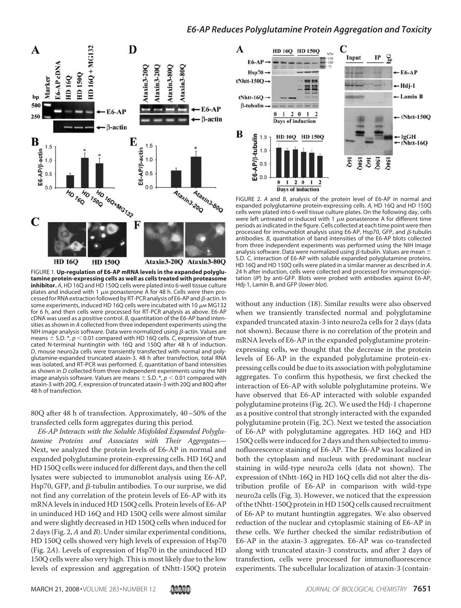

FIGURE 1. **Up-regulation of E6-AP mRNA levels in the expanded polyglutamine protein-expressing cells as well as cells treated with proteasome inhibitor.** A, HD 16Q and HD 150Q cells were plated into 6-well tissue culture plates and induced with 1  $\mu$ M ponasterone A for 48 h. Cells were then processed for RNA extraction followed by RT-PCR analysis of E6-AP and  $\beta$ -actin. In some experiments, induced HD 16Q cells were incubated with 10  $\mu$ M MG132 for 6 h, and then cells were processed for RT-PCR analysis as above. E6-AP cDNA was used as a positive control. *B*, quantitation of the E6-AP band intensities as shown in *A* collected from three independent experiments using the NIH image analysis software. Data were normalized using  $\beta$ -actin. Values are means  $\pm$  S.D.  $*, p < 0.01$  compared with HD 16Q cells. *C*, expression of truncated N-terminal huntingtin with 16Q and 150Q after 48 h of induction. *D*, mouse neuro2a cells were transiently transfected with normal and polyglutamine-expanded truncated ataxin-3. 48 h after transfection, total RNA was isolated, and RT-PCR was performed. *E*, quantitation of band intensities as shown in *D* collected from three independent experiments using the NIH image analysis software. Values are means  $\pm$  S.D.  $*, p < 0.01$  compared with ataxin-3 with 20Q. *F*, expression of truncated ataxin-3 with 20Q and 80Q after 48 h of transfection.

80Q after 48 h of transfection. Approximately, 40–50% of the transfected cells form aggregates during this period.

E6-AP Interacts with the Soluble Misfolded Expanded Polyglutamine Proteins and Associates with Their Aggregates— Next, we analyzed the protein levels of E6-AP in normal and expanded polyglutamine protein-expressing cells. HD 16Q and HD 150Q cells were induced for different days, and then the cell lysates were subjected to immunoblot analysis using E6-AP, Hsp70, GFP, and  $\beta$ -tubulin antibodies. To our surprise, we did not find any correlation of the protein levels of E6-AP with its mRNA levels in induced HD 150Q cells. Protein levels of E6-AP in uninduced HD 16Q and HD 150Q cells were almost similar and were slightly decreased in HD 150Q cells when induced for 2 days (Fig. 2, A and B). Under similar experimental conditions, HD 150Q cells showed very high levels of expression of Hsp70 (Fig. 2A). Levels of expression of Hsp70 in the uninduced HD 150Q cells were also very high. This is most likely due to the low levels of expression and aggregation of tNhtt-150Q protein



FIGURE 2. *A* and *B*, analysis of the protein level of E6-AP in normal and expanded polyglutamine protein-expressing cells. *A*, HD 16Q and HD 150Q cells were plated into 6-well tissue culture plates. On the following day, cells were left untreated or induced with 1  $\mu$ M ponasterone A for different time periods as indicated in the figure. Cells collected at each time point were then processed for immunoblot analysis using E6-AP, Hsp70, GFP, and  $\beta$ -tubulin antibodies. *B*, quantitation of band intensities of the E6-AP blots collected from three independent experiments was performed using the NIH Image analysis software. Data were normalized using  $\beta$ -tubulin. Values are mean  $\pm$ S.D. *C*, interaction of E6-AP with soluble expanded polyglutamine proteins. HD 16Q and HD 150Q cells were plated in a similar manner as described in *A*. 24 h after induction, cells were collected and processed for immunoprecipitation (*IP*) by anti-GFP. Blots were probed with antibodies against E6-AP, Hdj-1, Lamin B, and GFP (*lower blot*).

without any induction (18). Similar results were also observed when we transiently transfected normal and polyglutamine expanded truncated ataxin-3 into neuro2a cells for 2 days (data not shown). Because there is no correlation of the protein and mRNA levels of E6-AP in the expanded polyglutamine proteinexpressing cells, we thought that the decrease in the protein levels of E6-AP in the expanded polyglutamine protein-expressing cells could be due to its association with polyglutamine aggregates. To confirm this hypothesis, we first checked the interaction of E6-AP with soluble polyglutamine proteins. We have observed that E6-AP interacted with soluble expanded polyglutamine proteins (Fig. 2C).We used the Hdj-1 chaperone as a positive control that strongly interacted with the expanded polyglutamine protein (Fig. 2C). Next we tested the association of E6-AP with polyglutamine aggregates. HD 16Q and HD 150Q cells were induced for 2 days and then subjected to immunofluorescence staining of E6-AP. The E6-AP was localized in both the cytoplasm and nucleus with predominant nuclear staining in wild-type neuro2a cells (data not shown). The expression of tNhtt-16Q in HD 16Q cells did not alter the distribution profile of E6-AP in comparison with wild-type neuro2a cells (Fig. 3). However, we noticed that the expression of the tNhtt-150Q protein in HD 150Q cells caused recruitment of E6-AP to mutant huntingtin aggregates. We also observed reduction of the nuclear and cytoplasmic staining of E6-AP in these cells. We further checked the similar redistribution of E6-AP in the ataxin-3 aggregates. E6-AP was co-transfected along with truncated ataxin-3 constructs, and after 2 days of transfection, cells were processed for immunofluorescence experiments. The subcellular localization of ataxin-3 (contain-

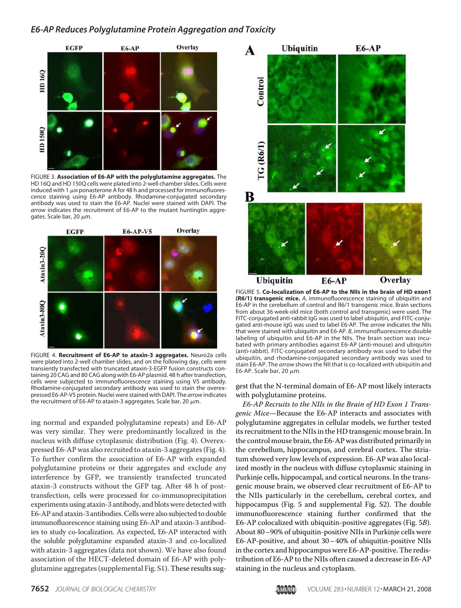

FIGURE 3. **Association of E6-AP with the polyglutamine aggregates.** The HD 16Q and HD 150Q cells were plated into 2-well chamber slides. Cells were induced with 1  $\mu$ M ponasterone A for 48 h and processed for immunofluorescence staining using E6-AP antibody. Rhodamine-conjugated secondary antibody was used to stain the E6-AP. Nuclei were stained with DAPI. The *arrow* indicates the recruitment of E6-AP to the mutant huntingtin aggregates. Scale bar, 20  $\mu$ m.



FIGURE 4. **Recruitment of E6-AP to ataxin-3 aggregates.** Neuro2a cells were plated into 2-well chamber slides, and on the following day, cells were transiently transfected with truncated ataxin-3-EGFP fusion constructs containing 20 CAG and 80 CAG along with E6-AP plasmid. 48 h after transfection, cells were subjected to immunofluorescence staining using V5 antibody. Rhodamine-conjugated secondary antibody was used to stain the overexpressed E6-AP-V5 protein. Nuclei were stained with DAPI. The *arrow* indicates the recruitment of E6-AP to ataxin-3 aggregates. Scale bar, 20  $\mu$ m.

ing normal and expanded polyglutamine repeats) and E6-AP was very similar. They were predominantly localized in the nucleus with diffuse cytoplasmic distribution (Fig. 4). Overexpressed E6-AP was also recruited to ataxin-3 aggregates (Fig. 4). To further confirm the association of E6-AP with expanded polyglutamine proteins or their aggregates and exclude any interference by GFP, we transiently transfected truncated ataxin-3 constructs without the GFP tag. After 48 h of posttransfection, cells were processed for co-immunoprecipitation experiments using ataxin-3 antibody, and blots were detected with E6-AP and ataxin-3 antibodies.Cells were also subjected to double immunofluorescence staining using E6-AP and ataxin-3 antibodies to study co-localization. As expected, E6-AP interacted with the soluble polyglutamine expanded ataxin-3 and co-localized with ataxin-3 aggregates (data not shown). We have also found association of the HECT-deleted domain of E6-AP with polyglutamine aggregates (supplemental Fig. S1). These results sug-



FIGURE 5. **Co-localization of E6-AP to the NIIs in the brain of HD exon1 (R6/1) transgenic mice.** *A*, immunofluorescence staining of ubiquitin and E6-AP in the cerebellum of control and R6/1 transgenic mice. Brain sections from about 36 week-old mice (both control and transgenic) were used. The FITC-conjugated anti-rabbit IgG was used to label ubiquitin, and FITC-conjugated anti-mouse IgG was used to label E6-AP. The *arrow* indicates the NIIs that were stained with ubiquitin and E6-AP. *B*, immunofluorescence double labeling of ubiquitin and E6-AP in the NIIs. The brain section was incubated with primary antibodies against E6-AP (anti-mouse) and ubiquitin (anti-rabbit). FITC-conjugated secondary antibody was used to label the ubiquitin, and rhodamine-conjugated secondary antibody was used to stain E6-AP. The *arrow* shows the NII that is co-localized with ubiquitin and E6-AP. Scale bar, 20  $\mu$ m.

gest that the N-terminal domain of E6-AP most likely interacts with polyglutamine proteins.

E6-AP Recruits to the NIIs in the Brain of HD Exon 1 Transgenic Mice—Because the E6-AP interacts and associates with polyglutamine aggregates in cellular models, we further tested its recruitment to the NIIs in the HD transgenic mouse brain. In the control mouse brain, the E6-AP was distributed primarily in the cerebellum, hippocampus, and cerebral cortex. The striatum showed very low levels of expression. E6-AP was also localized mostly in the nucleus with diffuse cytoplasmic staining in Purkinje cells, hippocampal, and cortical neurons. In the transgenic mouse brain, we observed clear recruitment of E6-AP to the NIIs particularly in the cerebellum, cerebral cortex, and hippocampus (Fig. 5 and supplemental Fig. S2). The double immunofluorescence staining further confirmed that the E6-AP colocalized with ubiquitin-positive aggregates (Fig. 5B). About 80–90% of ubiquitin-positive NIIs in Purkinje cells were E6-AP-positive, and about 30– 40% of ubiquitin-positive NIIs in the cortex and hippocampus were E6-AP-positive. The redistribution of E6-AP to the NIIs often caused a decrease in E6-AP staining in the nucleus and cytoplasm.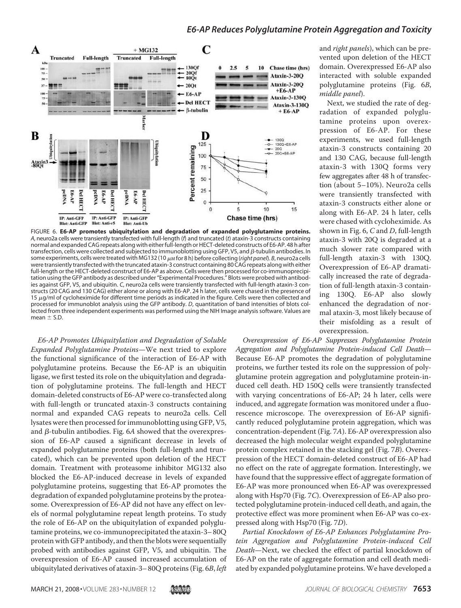

FIGURE 6. **E6-AP promotes ubiquitylation and degradation of expanded polyglutamine proteins.** *A*, neuro2a cells were transiently transfected with full-length (*f*) and truncated (*t*) ataxin-3 constructs containing normal and expanded CAG repeats along with either full-length or HECT-deleted constructs of E6-AP. 48 h after transfection, cells were collected and subjected to immunoblotting using GFP, V5, and  $\beta$ -tubulin antibodies. In some experiments, cells were treated with MG132 (10 μm for 8 h) before collecting (*right panel*). *B*, neuro2a cells were transiently transfected with the truncated ataxin-3 construct containing 80 CAG repeats along with either full-length or the HECT-deleted construct of E6-AP as above. Cells were then processed for co-immunoprecipitation using the GFP antibody as described under "Experimental Procedures." Blots were probed with antibodies against GFP, V5, and ubiquitin. *C*, neuro2a cells were transiently transfected with full-length ataxin-3 constructs (20 CAG and 130 CAG) either alone or along with E6-AP. 24 h later, cells were chased in the presence of 15  $\mu$ g/ml of cycloheximide for different time periods as indicated in the figure. Cells were then collected and processed for immunoblot analysis using the GFP antibody. *D*, quantitation of band intensities of blots collected from three independent experiments was performed using the NIH Image analysis software. Values are  $mean \pm S.D.$ 

E6-AP Promotes Ubiquitylation and Degradation of Soluble Expanded Polyglutamine Proteins—We next tried to explore the functional significance of the interaction of E6-AP with polyglutamine proteins. Because the E6-AP is an ubiquitin ligase, we first tested its role on the ubiquitylation and degradation of polyglutamine proteins. The full-length and HECT domain-deleted constructs of E6-AP were co-transfected along with full-length or truncated ataxin-3 constructs containing normal and expanded CAG repeats to neuro2a cells. Cell lysates were then processed for immunoblotting using GFP, V5, and  $\beta$ -tubulin antibodies. Fig. 6A showed that the overexpression of E6-AP caused a significant decrease in levels of expanded polyglutamine proteins (both full-length and truncated), which can be prevented upon deletion of the HECT domain. Treatment with proteasome inhibitor MG132 also blocked the E6-AP-induced decrease in levels of expanded polyglutamine proteins, suggesting that E6-AP promotes the degradation of expanded polyglutamine proteins by the proteasome. Overexpression of E6-AP did not have any effect on levels of normal polyglutamine repeat length proteins. To study the role of E6-AP on the ubiquitylation of expanded polyglutamine proteins, we co-immunoprecipitated the ataxin-3– 80Q protein with GFP antibody, and then the blots were sequentially probed with antibodies against GFP, V5, and ubiquitin. The overexpression of E6-AP caused increased accumulation of ubiquitylated derivatives of ataxin-3– 80Q proteins (Fig. 6B, left

and right panels), which can be prevented upon deletion of the HECT domain. Overexpressed E6-AP also interacted with soluble expanded polyglutamine proteins (Fig. 6B, middle panel).

Next, we studied the rate of degradation of expanded polyglutamine proteins upon overexpression of E6-AP. For these experiments, we used full-length ataxin-3 constructs containing 20 and 130 CAG, because full-length ataxin-3 with 130Q forms very few aggregates after 48 h of transfection (about 5–10%). Neuro2a cells were transiently transfected with ataxin-3 constructs either alone or along with E6-AP. 24 h later, cells were chased with cycloheximide. As shown in Fig. 6, C and D, full-length ataxin-3 with 20Q is degraded at a much slower rate compared with full-length ataxin-3 with 130Q. Overexpression of E6-AP dramatically increased the rate of degradation of full-length ataxin-3 containing 130Q. E6-AP also slowly enhanced the degradation of normal ataxin-3, most likely because of their misfolding as a result of overexpression.

Overexpression of E6-AP Suppresses Polyglutamine Protein Aggregation and Polyglutamine Protein-induced Cell Death— Because E6-AP promotes the degradation of polyglutamine proteins, we further tested its role on the suppression of polyglutamine protein aggregation and polyglutamine protein-induced cell death. HD 150Q cells were transiently transfected with varying concentrations of E6-AP; 24 h later, cells were induced, and aggregate formation was monitored under a fluorescence microscope. The overexpression of E6-AP significantly reduced polyglutamine protein aggregation, which was concentration-dependent (Fig. 7A). E6-AP overexpression also decreased the high molecular weight expanded polyglutamine protein complex retained in the stacking gel (Fig. 7B). Overexpression of the HECT domain-deleted construct of E6-AP had no effect on the rate of aggregate formation. Interestingly, we have found that the suppressive effect of aggregate formation of E6-AP was more pronounced when E6-AP was overexpressed along with Hsp70 (Fig. 7C). Overexpression of E6-AP also protected polyglutamine protein-induced cell death, and again, the protective effect was more prominent when E6-AP was co-expressed along with Hsp70 (Fig. 7D).

Partial Knockdown of E6-AP Enhances Polyglutamine Protein Aggregation and Polyglutamine Protein-induced Cell Death—Next, we checked the effect of partial knockdown of E6-AP on the rate of aggregate formation and cell death mediated by expanded polyglutamine proteins.We have developed a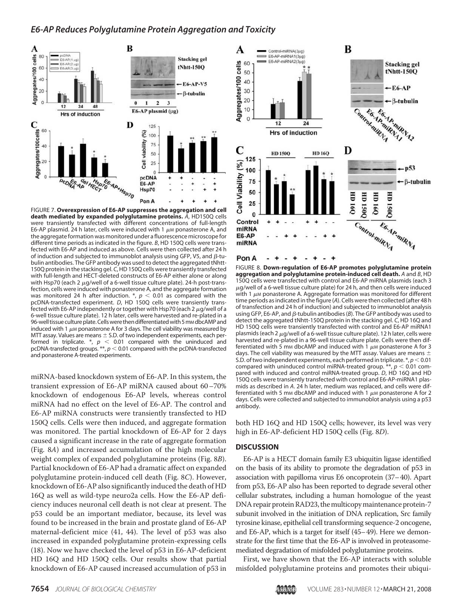

FIGURE 7. **Overexpression of E6-AP suppresses the aggregation and cell death mediated by expanded polyglutamine proteins.** *A*, HD150Q cells were transiently transfected with different concentrations of full-length E6-AP plasmid. 24 h later, cells were induced with 1  $\mu$ M ponasterone A, and the aggregate formation was monitored under a fluorescence microscope for different time periods as indicated in the figure. *B*, HD 150Q cells were transfected with E6-AP and induced as above. Cells were then collected after 24 h of induction and subjected to immunoblot analysis using GFP, V5, and  $\beta$ -tubulin antibodies. The GFP antibody was used to detect the aggregated tNhtt-150Q protein in the stacking gel. *C*, HD 150Q cells were transiently transfected with full-length and HECT-deleted constructs of E6-AP either alone or along with Hsp70 (each 2  $\mu$ g/well of a 6-well tissue culture plate). 24-h post-transfection, cells were induced with ponasterone A, and the aggregate formation was monitored 24 h after induction.  $\pi$ ,  $p$  < 0.01 as compared with the pcDNA-transfected experiment. *D*, HD 150Q cells were transiently transfected with E6-AP independently or together with Hsp70 (each 2  $\mu$ g/well of a 6-well tissue culture plate). 12 h later, cells were harvested and re-plated in a 96-well tissue culture plate. Cells were then differentiated with 5 mm dbcAMP and induced with 1  $\mu$ M ponasterone A for 3 days. The cell viability was measured by MTT assay. Values are means  $\pm$  S.D. of two independent experiments, each performed in triplicate.  $*, p < 0.01$  compared with the uninduced and pcDNA-transfected groups.  $**$ ,  $p < 0.01$  compared with the pcDNA-transfected and ponasterone A-treated experiments.

miRNA-based knockdown system of E6-AP. In this system, the transient expression of E6-AP miRNA caused about 60–70% knockdown of endogenous E6-AP levels, whereas control miRNA had no effect on the level of E6-AP. The control and E6-AP miRNA constructs were transiently transfected to HD 150Q cells. Cells were then induced, and aggregate formation was monitored. The partial knockdown of E6-AP for 2 days caused a significant increase in the rate of aggregate formation (Fig. 8A) and increased accumulation of the high molecular weight complex of expanded polyglutamine proteins (Fig. 8B). Partial knockdown of E6-AP had a dramatic affect on expanded polyglutamine protein-induced cell death (Fig. 8C). However, knockdown of E6-AP also significantly induced the death of HD 16Q as well as wild-type neuro2a cells. How the E6-AP deficiency induces neuronal cell death is not clear at present. The p53 could be an important mediator, because, its level was found to be increased in the brain and prostate gland of E6-AP maternal-deficient mice (41, 44). The level of p53 was also increased in expanded polyglutamine protein-expressing cells (18). Now we have checked the level of p53 in E6-AP-deficient HD 16Q and HD 150Q cells. Our results show that partial knockdown of E6-AP caused increased accumulation of p53 in



FIGURE 8. **Down-regulation of E6-AP promotes polyglutamine protein aggregation and polyglutamine protein-induced cell death.** *A* and *B*, HD 150Q cells were transfected with control and E6-AP miRNA plasmids (each 3  $\mu$ g/well of a 6-well tissue culture plate) for 24 h, and then cells were induced with 1  $\mu$ м ponasterone A. Aggregate formation was monitored for different time periods as indicated in the figure (*A*). Cells were then collected (after 48 h of transfection and 24 h of induction) and subjected to immunoblot analysis using GFP, E6-AP, and  $\beta$ -tubulin antibodies ( $\beta$ ). The GFP antibody was used to detect the aggregated tNhtt-150Q protein in the stacking gel. *C*, HD 16Q and HD 150Q cells were transiently transfected with control and E6-AP miRNA1 plasmids (each 2  $\mu$ g/well of a 6-well tissue culture plate). 12 h later, cells were harvested and re-plated in a 96-well tissue culture plate. Cells were then differentiated with 5 mm dbcAMP and induced with 1  $\mu$ m ponasterone A for 3 days. The cell viability was measured by the MTT assay. Values are means  $\pm$ S.D. of two independent experiments, each performed in triplicate. \*,  $p < 0.01$ compared with uninduced control miRNA-treated group.  $**$ ,  $p < 0.01$  compared with induced and control miRNA-treated group. *D*, HD 16Q and HD 150Q cells were transiently transfected with control and E6-AP-miRNA1 plasmids as described in *A*. 24 h later, medium was replaced, and cells were differentiated with 5 mm dbcAMP and induced with 1  $\mu$ m ponasterone A for 2 days. Cells were collected and subjected to immunoblot analysis using a p53 antibody.

both HD 16Q and HD 150Q cells; however, its level was very high in E6-AP-deficient HD 150Q cells (Fig. 8D).

#### **DISCUSSION**

E6-AP is a HECT domain family E3 ubiquitin ligase identified on the basis of its ability to promote the degradation of p53 in association with papilloma virus E6 oncoprotein (37–40). Apart from p53, E6-AP also has been reported to degrade several other cellular substrates, including a human homologue of the yeast DNA repair protein RAD23, the multicopy maintenance protein-7 subunit involved in the initiation of DNA replication, Src family tyrosine kinase, epithelial cell transforming sequence-2 oncogene, and E6-AP, which is a target for itself (45–49). Here we demonstrate for the first time that the E6-AP is involved in proteasomemediated degradation of misfolded polyglutamine proteins.

First, we have shown that the E6-AP interacts with soluble misfolded polyglutamine proteins and promotes their ubiqui-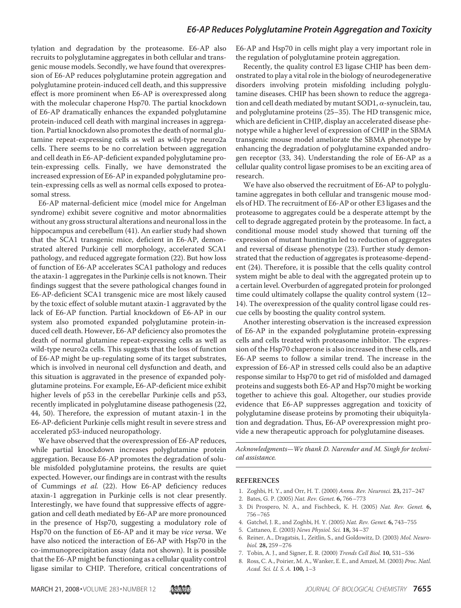tylation and degradation by the proteasome. E6-AP also recruits to polyglutamine aggregates in both cellular and transgenic mouse models. Secondly, we have found that overexpression of E6-AP reduces polyglutamine protein aggregation and polyglutamine protein-induced cell death, and this suppressive effect is more prominent when E6-AP is overexpressed along with the molecular chaperone Hsp70. The partial knockdown of E6-AP dramatically enhances the expanded polyglutamine protein-induced cell death with marginal increases in aggregation. Partial knockdown also promotes the death of normal glutamine repeat-expressing cells as well as wild-type neuro2a cells. There seems to be no correlation between aggregation and cell death in E6-AP-deficient expanded polyglutamine protein-expressing cells. Finally, we have demonstrated the increased expression of E6-AP in expanded polyglutamine protein-expressing cells as well as normal cells exposed to proteasomal stress.

E6-AP maternal-deficient mice (model mice for Angelman syndrome) exhibit severe cognitive and motor abnormalities without any gross structural alterations and neuronal loss in the hippocampus and cerebellum (41). An earlier study had shown that the SCA1 transgenic mice, deficient in E6-AP, demonstrated altered Purkinje cell morphology, accelerated SCA1 pathology, and reduced aggregate formation (22). But how loss of function of E6-AP accelerates SCA1 pathology and reduces the ataxin-1 aggregates in the Purkinje cells is not known. Their findings suggest that the severe pathological changes found in E6-AP-deficient SCA1 transgenic mice are most likely caused by the toxic effect of soluble mutant ataxin-1 aggravated by the lack of E6-AP function. Partial knockdown of E6-AP in our system also promoted expanded polyglutamine protein-induced cell death. However, E6-AP deficiency also promotes the death of normal glutamine repeat-expressing cells as well as wild-type neuro2a cells. This suggests that the loss of function of E6-AP might be up-regulating some of its target substrates, which is involved in neuronal cell dysfunction and death, and this situation is aggravated in the presence of expanded polyglutamine proteins. For example, E6-AP-deficient mice exhibit higher levels of p53 in the cerebellar Purkinje cells and p53, recently implicated in polyglutamine disease pathogenesis (22, 44, 50). Therefore, the expression of mutant ataxin-1 in the E6-AP-deficient Purkinje cells might result in severe stress and accelerated p53-induced neuropathology.

We have observed that the overexpression of E6-AP reduces, while partial knockdown increases polyglutamine protein aggregation. Because E6-AP promotes the degradation of soluble misfolded polyglutamine proteins, the results are quiet expected. However, our findings are in contrast with the results of Cummings et al. (22). How E6-AP deficiency reduces ataxin-1 aggregation in Purkinje cells is not clear presently. Interestingly, we have found that suppressive effects of aggregation and cell death mediated by E6-AP are more pronounced in the presence of Hsp70, suggesting a modulatory role of Hsp70 on the function of E6-AP and it may be vice versa. We have also noticed the interaction of E6-AP with Hsp70 in the co-immunoprecipitation assay (data not shown). It is possible that the E6-AP might be functioning as a cellular quality control ligase similar to CHIP. Therefore, critical concentrations of E6-AP and Hsp70 in cells might play a very important role in the regulation of polyglutamine protein aggregation.

Recently, the quality control E3 ligase CHIP has been demonstrated to play a vital role in the biology of neurodegenerative disorders involving protein misfolding including polyglutamine diseases. CHIP has been shown to reduce the aggregation and cell death mediated by mutant SOD1,  $\alpha$ -synuclein, tau, and polyglutamine proteins (25–35). The HD transgenic mice, which are deficient in CHIP, display an accelerated disease phenotype while a higher level of expression of CHIP in the SBMA transgenic mouse model ameliorate the SBMA phenotype by enhancing the degradation of polyglutamine expanded androgen receptor (33, 34). Understanding the role of E6-AP as a cellular quality control ligase promises to be an exciting area of research.

We have also observed the recruitment of E6-AP to polyglutamine aggregates in both cellular and transgenic mouse models of HD. The recruitment of E6-AP or other E3 ligases and the proteasome to aggregates could be a desperate attempt by the cell to degrade aggregated protein by the proteasome. In fact, a conditional mouse model study showed that turning off the expression of mutant huntingtin led to reduction of aggregates and reversal of disease phenotype (23). Further study demonstrated that the reduction of aggregates is proteasome-dependent (24). Therefore, it is possible that the cells quality control system might be able to deal with the aggregated protein up to a certain level. Overburden of aggregated protein for prolonged time could ultimately collapse the quality control system (12– 14). The overexpression of the quality control ligase could rescue cells by boosting the quality control system.

Another interesting observation is the increased expression of E6-AP in the expanded polyglutamine protein-expressing cells and cells treated with proteasome inhibitor. The expression of the Hsp70 chaperone is also increased in these cells, and E6-AP seems to follow a similar trend. The increase in the expression of E6-AP in stressed cells could also be an adaptive response similar to Hsp70 to get rid of misfolded and damaged proteins and suggests both E6-AP and Hsp70 might be working together to achieve this goal. Altogether, our studies provide evidence that E6-AP suppresses aggregation and toxicity of polyglutamine disease proteins by promoting their ubiquitylation and degradation. Thus, E6-AP overexpression might provide a new therapeutic approach for polyglutamine diseases.

Acknowledgments—We thank D. Narender and M. Singh for technical assistance.

#### **REFERENCES**

- 1. Zoghbi, H. Y., and Orr, H. T. (2000) Annu. Rev. Neurosci. **23,** 217–247
- 2. Bates, G. P. (2005) Nat. Rev. Genet. **6,** 766–773
- 3. Di Prospero, N. A., and Fischbeck, K. H. (2005) Nat. Rev. Genet. **6,** 756–765
- 4. Gatchel, J. R., and Zoghbi, H. Y. (2005) Nat. Rev. Genet. **6,** 743–755
- 5. Cattaneo, E. (2003) News Physiol. Sci. **18,** 34–37
- 6. Reiner, A., Dragatsis, I., Zeitlin, S., and Goldowitz, D. (2003) Mol. Neurobiol. **28,** 259–276
- 7. Tobin, A. J., and Signer, E. R. (2000) Trends Cell Biol. **10,** 531–536
- 8. Ross, C. A., Poirier, M. A., Wanker, E. E., and Amzel, M. (2003) Proc. Natl. Acad. Sci. U. S. A. **100,** 1–3